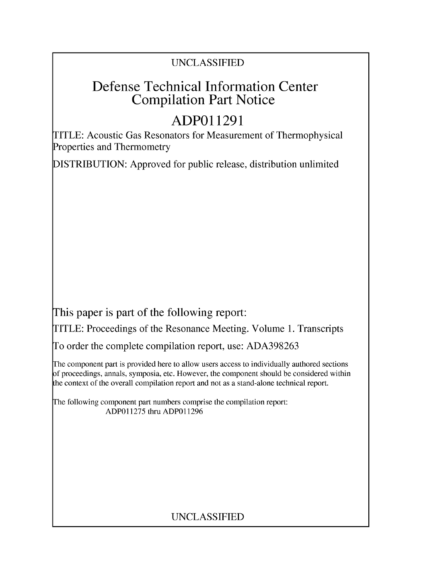## **UNCLASSIFIED**

## **Defense Technical Information Center Compilation Part Notice**

# **ADPO 11291**

TITLE: Acoustic Gas Resonators for Measurement of Thermophysical Properties and Thermometry

**DISTRIBUTION:** Approved for public release, distribution unlimited

This paper is part of the following report:

TITLE: Proceedings of the Resonance Meeting. Volume **1.** Transcripts

**To** order the complete compilation report, use: **ADA398263**

The component part is provided here to allow users access to individually authored sections **f** proceedings, annals, symposia, etc. However, the component should be considered within [he context of the overall compilation report and not as a stand-alone technical report.

The following component part numbers comprise the compilation report: **ADP011275** thru **ADP011296**

## **UNCLASSIFIED**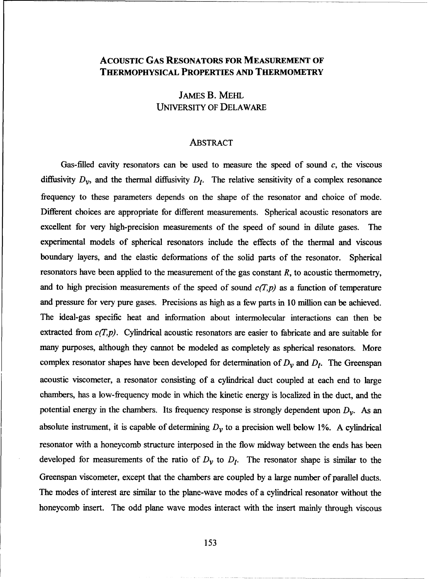#### **ACOUSTIC GAS RESONATORS FOR MEASUREMENT OF THERMOPHYSICAL PROPERTIES AND THERMOMETRY**

JAMES B. MEHL **UNIVERSITY** OF DELAWARE

#### ABSTRACT

Gas-filled cavity resonators can be used to measure the speed of sound *c,* the viscous diffusivity  $D_v$ , and the thermal diffusivity  $D_t$ . The relative sensitivity of a complex resonance frequency to these parameters depends on the shape of the resonator and choice of mode. Different choices are appropriate for different measurements. Spherical acoustic resonators are excellent for very high-precision measurements of the speed of sound in dilute gases. The experimental models of spherical resonators include the effects of the thermal and viscous boundary layers, and the elastic deformations of the solid parts of the resonator. Spherical resonators have been applied to the measurement of the gas constant *R,* to acoustic thermometry, and to high precision measurements of the speed of sound  $c(T,p)$  as a function of temperature and pressure for very pure gases. Precisions as high as a few parts in 10 million can be achieved. The ideal-gas specific heat and information about intermolecular interactions can then be extracted from  $c(T,p)$ . Cylindrical acoustic resonators are easier to fabricate and are suitable for many purposes, although they cannot be modeled as completely as spherical resonators. More complex resonator shapes have been developed for determination of  $D<sub>V</sub>$  and  $D<sub>f</sub>$ . The Greenspan acoustic viscometer, a resonator consisting of a cylindrical duct coupled at each end to large chambers, has a low-frequency mode in which the kinetic energy is localized in the duct, and the potential energy in the chambers. Its frequency response is strongly dependent upon  $D_{\mathcal{V}}$ . As an absolute instrument, it is capable of determining  $D<sub>v</sub>$  to a precision well below 1%. A cylindrical resonator with a honeycomb structure interposed in the flow midway between the ends has been developed for measurements of the ratio of  $D_v$  to  $D_t$ . The resonator shape is similar to the Greenspan viscometer, except that the chambers are coupled by a large number of parallel ducts. The modes of interest are similar to the plane-wave modes of a cylindrical resonator without the honeycomb insert. The odd plane wave modes interact with the insert mainly through viscous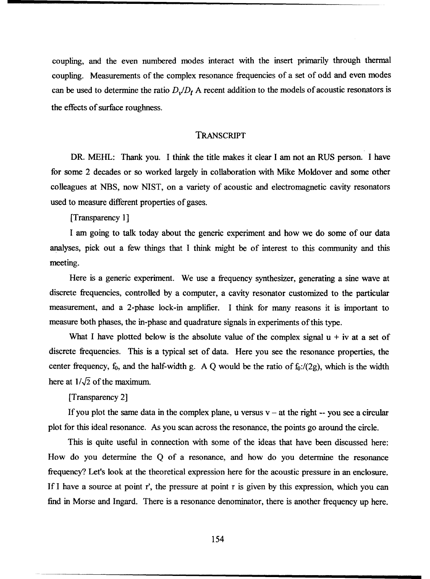coupling, and the even numbered modes interact with the insert primarily through thermal coupling. Measurements of the complex resonance frequencies of a set of odd and even modes can be used to determine the ratio  $D_{\nu}/D_{t}$  A recent addition to the models of acoustic resonators is the effects of surface roughness.

#### TRANSCRIPT

DR. MEHL: Thank you. I think the title makes it clear I am not an RUS person. I have for some 2 decades or so worked largely in collaboration with Mike Moldover and some other colleagues at NBS, now NIST, on a variety of acoustic and electromagnetic cavity resonators used to measure different properties of gases.

[Transparency **1]**

I am going to talk today about the generic experiment and how we do some of our data analyses, pick out a few things that I think might be of interest to this community and this meeting.

Here is a generic experiment. We use a frequency synthesizer, generating a sine wave at discrete frequencies, controlled by a computer, a cavity resonator customized to the particular measurement, and a 2-phase lock-in amplifier. I think for many reasons it is important to measure both phases, the in-phase and quadrature signals in experiments of this type.

What I have plotted below is the absolute value of the complex signal  $u + iv$  at a set of discrete frequencies. This is a typical set of data. Here you see the resonance properties, the center frequency,  $f_0$ , and the half-width g. A Q would be the ratio of  $f_0$ :/(2g), which is the width here at  $1/\sqrt{2}$  of the maximum.

[Transparency 2]

If you plot the same data in the complex plane, u versus  $v - at$  the right  $-$  you see a circular plot for this ideal resonance. As you scan across the resonance, the points go around the circle.

This is quite useful in connection with some of the ideas that have been discussed here: How do you determine the Q of a resonance, and how do you determine the resonance frequency? Let's look at the theoretical expression here for the acoustic pressure in an enclosure. If I have a source at point r', the pressure at point r is given by this expression, which you can find in Morse and Ingard. There is a resonance denominator, there is another frequency up here.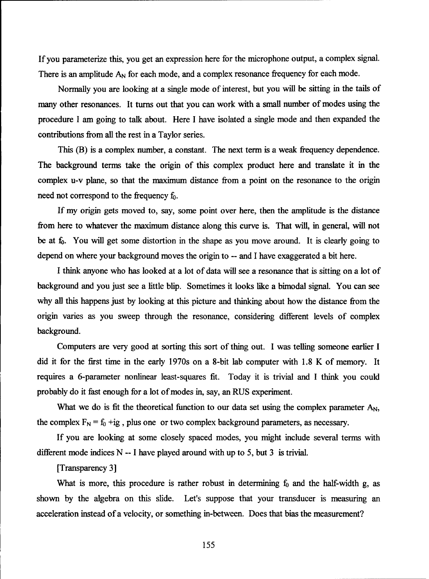If you parameterize this, you get an expression here for the microphone output, a complex signal. There is an amplitude  $A_N$  for each mode, and a complex resonance frequency for each mode.

Normally you are looking at a single mode of interest, but you will be sitting in the tails of many other resonances. It turns out that you can work with a small number of modes using the procedure I am going to talk about. Here I have isolated a single mode and then expanded the contributions from all the rest in a Taylor series.

This (B) is a complex number, a constant. The next term is a weak frequency dependence. The background terms take the origin of this complex product here and translate it in the complex u-v plane, so that the maximum distance from a point on the resonance to the origin need not correspond to the frequency  $f_0$ .

If my origin gets moved to, say, some point over here, then the amplitude is the distance from here to whatever the maximum distance along this curve is. That will, in general, will not be at  $f_0$ . You will get some distortion in the shape as you move around. It is clearly going to depend on where your background moves the origin to **--** and I have exaggerated a bit here.

I think anyone who has looked at a lot of data will see a resonance that is sitting on a lot of background and you just see a little blip. Sometimes it looks like a bimodal signal. You can see why all this happens just by looking at this picture and thinking about how the distance from the origin varies as you sweep through the resonance, considering different levels of complex background.

Computers are very good at sorting this sort of thing out. I was telling someone earlier I did it for the first time in the early 1970s on a 8-bit lab computer with **1.8** K of memory. It requires a 6-parameter nonlinear least-squares fit. Today it is trivial and I think you could probably do it fast enough for a lot of modes in, say, an RUS experiment.

What we do is fit the theoretical function to our data set using the complex parameter  $A_N$ , the complex  $F_N = f_0 + ig$ , plus one or two complex background parameters, as necessary.

If you are looking at some closely spaced modes, you might include several terms with different mode indices  $N - I$  have played around with up to 5, but 3 is trivial.

[Transparency 3]

What is more, this procedure is rather robust in determining  $f_0$  and the half-width g, as shown by the algebra on this slide. Let's suppose that your transducer is measuring an acceleration instead of a velocity, or something in-between. Does that bias the measurement?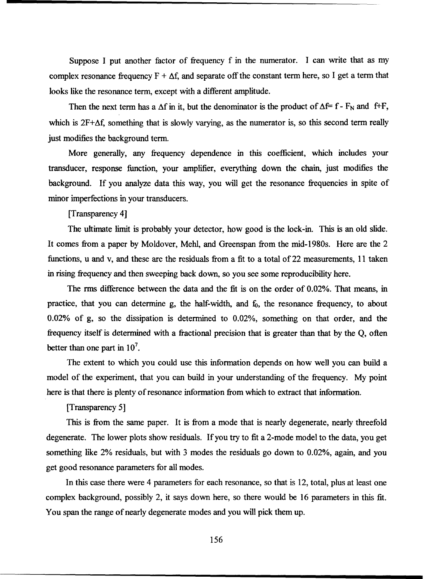Suppose I put another factor of frequency f in the numerator. I can write that as my complex resonance frequency  $F + \Delta f$ , and separate off the constant term here, so I get a term that looks like the resonance term, except with a different amplitude.

Then the next term has a  $\Delta f$  in it, but the denominator is the product of  $\Delta f = f - F_N$  and  $f + F$ , which is  $2F+\Delta f$ , something that is slowly varying, as the numerator is, so this second term really just modifies the background term.

More generally, any frequency dependence in this coefficient, which includes your transducer, response function, your amplifier, everything down the chain, just modifies the background. If you analyze data this way, you will get the resonance frequencies in spite of minor imperfections in your transducers.

[Transparency 4]

The ultimate limit is probably your detector, how good is the lock-in. This is an old slide. It comes from a paper by Moldover, Mehl, and Greenspan from the mid-1980s. Here are the 2 functions, u and v, and these are the residuals from a fit to a total of 22 measurements, 11 taken in rising frequency and then sweeping back down, so you see some reproducibility here.

The rms difference between the data and the fit is on the order of 0.02%. That means, in practice, that you can determine g, the half-width, and  $f_0$ , the resonance frequency, to about 0.02% of g, so the dissipation is determined to 0.02%, something on that order, and the frequency itself is determined with a fractional precision that is greater than that by the Q, often better than one part in **107.**

The extent to which you could use this information depends on how well you can build a model of the experiment, that you can build in your understanding of the frequency. My point here is that there is plenty of resonance information from which to extract that information.

[Transparency 5]

This is from the same paper. It is from a mode that is nearly degenerate, nearly threefold degenerate. The lower plots show residuals. If you try to fit a 2-mode model to the data, you get something like 2% residuals, but with 3 modes the residuals go down to 0.02%, again, and you get good resonance parameters for all modes.

In this case there were 4 parameters for each resonance, so that is 12, total, plus at least one complex background, possibly 2, it says down here, so there would be 16 parameters in this fit. You span the range of nearly degenerate modes and you will pick them up.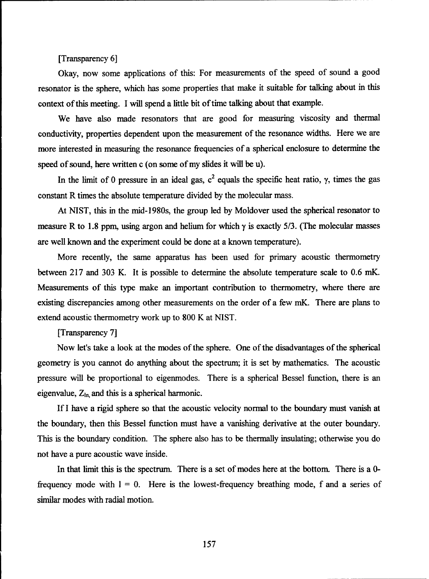[Transparency **6]**

Okay, now some applications of this: For measurements of the speed of sound a good resonator is the sphere, which has some properties that make it suitable for talking about in this context of this meeting. I will spend a little bit of time talking about that example.

We have also made resonators that are good for measuring viscosity and thermal conductivity, properties dependent upon the measurement of the resonance widths. Here we are more interested in measuring the resonance frequencies of a spherical enclosure to determine the speed of sound, here written c (on some of my slides it will be u).

In the limit of 0 pressure in an ideal gas,  $c^2$  equals the specific heat ratio,  $\gamma$ , times the gas constant R times the absolute temperature divided by the molecular mass.

At NIST, this in the mid-1980s, the group led by Moldover used the spherical resonator to measure R to 1.8 ppm, using argon and helium for which **y** is exactly 5/3. (The molecular masses are well known and the experiment could be done at a known temperature).

More recently, the same apparatus has been used for primary acoustic thermometry between 217 and 303 K. It is possible to determine the absolute temperature scale to 0.6 mK. Measurements of this type make an important contribution to thermometry, where there are existing discrepancies among other measurements on the order of a few mK. There are plans to extend acoustic thermometry work up to 800 K at NIST.

#### [Transparency 7]

Now let's take a look at the modes of the sphere. One of the disadvantages of the spherical geometry is you cannot do anything about the spectrum; it is set by mathematics. The acoustic pressure will be proportional to eigenmodes. There is a spherical Bessel function, there is an eigenvalue,  $Z_{\text{in}}$  and this is a spherical harmonic.

If I have a rigid sphere so that the acoustic velocity normal to the boundary must vanish at the boundary, then this Bessel function must have a vanishing derivative at the outer boundary. This is the boundary condition. The sphere also has to be thermally insulating; otherwise you do not have a pure acoustic wave inside.

In that limit this is the spectrum. There is a set of modes here at the bottom. There is a 0 frequency mode with  $1 = 0$ . Here is the lowest-frequency breathing mode, f and a series of similar modes with radial motion.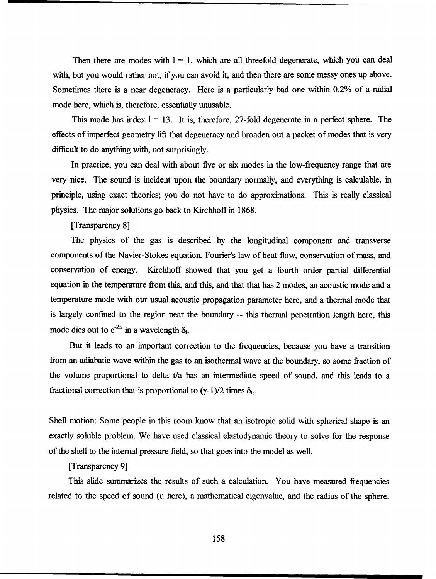Then there are modes with  $1 = 1$ , which are all threefold degenerate, which you can deal with, but you would rather not, if you can avoid it, and then there are some messy ones up above. Sometimes there is a near degeneracy. Here is a particularly bad one within 0.2% of a radial mode here, which is, therefore, essentially unusable.

This mode has index  $l = 13$ . It is, therefore, 27-fold degenerate in a perfect sphere. The effects of imperfect geometry lift that degeneracy and broaden out a packet of modes that is very diflicult to do anything with, not surprisingly.

In practice, you can deal with about five or six modes in the low-frequency range that are very nice. The sound is incident upon the boundary normally, and everything is calculable, in principle, using exact theories; you do not have to do approximations. This is really classical physics. The major solutions go back to Kirchhoff in 1868.

[Transparency 8]

The physics of the gas is described by the longitudinal component and transverse components of the Navier-Stokes equation, Fourier's law of heat flow, conservation of mass, and conservation of energy. Kirchhoff showed that you get a fourth order partial differential equation in the temperature from this, and this, and that that has 2 modes, an acoustic mode and a temperature mode with our usual acoustic propagation parameter here, and a thermal mode that is largely confined to the region near the boundary -- this thermal penetration length here, this mode dies out to  $e^{-2n}$  in a wavelength  $\delta_t$ 

But it leads to an important correction to the frequencies, because you have a transition from an adiabatic wave within the gas to an isothermal wave at the boundary, so some fraction of the volume proportional to delta t/a has an intermediate speed of sound, and this leads to a fractional correction that is proportional to  $(\gamma - 1)/2$  times  $\delta_t$ .

Shell motion: Some people in this room know that an isotropic solid with spherical shape is an exactly soluble problem. We have used classical elastodynamic theory to solve for the response of the shell to the internal pressure field, so that goes into the model as well.

[Transparency 9]

This slide summarizes the results of such a calculation. You have measured frequencies related to the speed of sound (u here), a mathematical eigenvalue, and the radius of the sphere.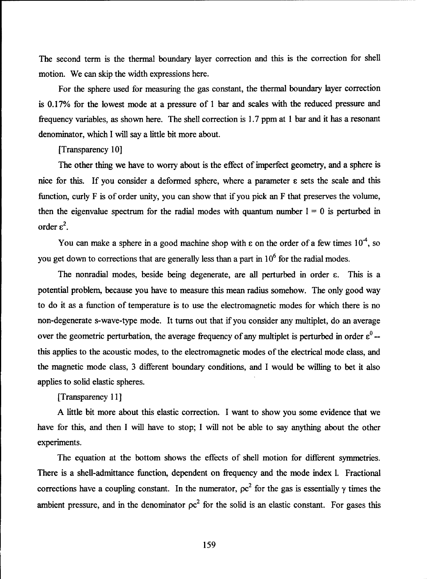The second term is the thermal boundary layer correction and this is the correction for shell motion. We can skip the width expressions here.

For the sphere used for measuring the gas constant, the thermal boundary layer correction is 0.17% for the lowest mode at a pressure of **I** bar and scales with the reduced pressure and frequency variables, as shown here. The shell correction is 1.7 ppm at 1 bar and it has a resonant denominator, which I will say a little bit more about.

#### [Transparency 10]

The other thing we have to worry about is the effect of imperfect geometry, and a sphere is nice for this. If you consider a deformed sphere, where a parameter **c** sets the scale and this function, curly F is of order unity, you can show that if you pick an F that preserves the volume, then the eigenvalue spectrum for the radial modes with quantum number  $1 = 0$  is perturbed in order  $\varepsilon^2$ .

You can make a sphere in a good machine shop with  $\varepsilon$  on the order of a few times  $10^4$ , so you get down to corrections that are generally less than a part in  $10<sup>6</sup>$  for the radial modes.

The nonradial modes, beside being degenerate, are all perturbed in order  $\varepsilon$ . This is a potential problem, because you have to measure this mean radius somehow. The only good way to do it as a function of temperature is to use the electromagnetic modes for which there is no non-degenerate s-wave-type mode. It turns out that if you consider any multiplet, do an average over the geometric perturbation, the average frequency of any multiplet is perturbed in order  $\varepsilon^0$  -this applies to the acoustic modes, to the electromagnetic modes of the electrical mode class, and the magnetic mode class, 3 different boundary conditions, and I would be willing to bet it also applies to solid elastic spheres.

#### [Transparency 11]

A little bit more about this elastic correction. I want to show you some evidence that we have for this, and then I will have to stop; I will not be able to say anything about the other experiments.

The equation at the bottom shows the effects of shell motion for different symmetries. There is a shell-admittance function, dependent on frequency and the mode index 1. Fractional corrections have a coupling constant. In the numerator,  $\rho c^2$  for the gas is essentially  $\gamma$  times the ambient pressure, and in the denominator  $\rho c^2$  for the solid is an elastic constant. For gases this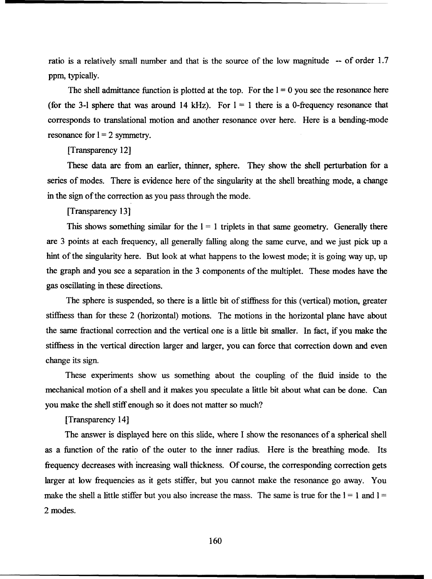ratio is a relatively small number and that is the source of the low magnitude **--** of order 1.7 ppm, typically.

The shell admittance function is plotted at the top. For the  $I = 0$  you see the resonance here (for the 3-1 sphere that was around 14 kHz). For  $1 = 1$  there is a 0-frequency resonance that corresponds to translational motion and another resonance over here. Here is a bending-mode resonance for  $l = 2$  symmetry.

#### [Transparency 12]

These data are from an earlier, thinner, sphere. They show the shell perturbation for a series of modes. There is evidence here of the singularity at the shell breathing mode, a change in the sign of the correction as you pass through the mode.

#### [Transparency **131**

This shows something similar for the  $1 = 1$  triplets in that same geometry. Generally there are 3 points at each frequency, all generally falling along the same curve, and we just pick up a hint of the singularity here. But look at what happens to the lowest mode; it is going way up, up the graph and you see a separation in the 3 components of the multiplet. These modes have the gas oscillating in these directions.

The sphere is suspended, so there is a little bit of stiffness for this (vertical) motion, greater stiffness than for these 2 (horizontal) motions. The motions in the horizontal plane have about the same fractional correction and the vertical one is a little bit smaller. In fact, if you make the stiffness in the vertical direction larger and larger, you can force that correction down and even change its sign.

These experiments show us something about the coupling of the fluid inside to the mechanical motion of a shell and it makes you speculate a little bit about what can be done. Can you make the shell stiff enough so it does not matter so much?

[Transparency 14]

The answer is displayed here on this slide, where I show the resonances of a spherical shell as a function of the ratio of the outer to the inner radius. Here is the breathing mode. Its frequency decreases with increasing wall thickness. Of course, the corresponding correction gets larger at low frequencies as it gets stiffer, but you cannot make the resonance go away. You make the shell a little stiffer but you also increase the mass. The same is true for the  $1 = 1$  and  $1 = 1$ 2 modes.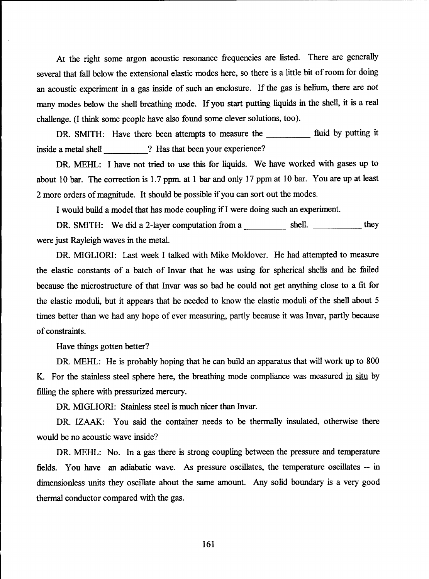At the right some argon acoustic resonance frequencies are listed. There are generally several that fall below the extensional elastic modes here, so there is a little bit of room for doing an acoustic experiment in a gas inside of such an enclosure. If the gas is helium, there are not many modes below the shell breathing mode. If you start putting liquids in the shell, it is a real challenge. (I think some people have also found some clever solutions, too).

DR. SMITH: Have there been attempts to measure the **fluid** by putting it inside a metal shell **?** Has that been your experience?

DR. MEHL: I have not tried to use this for liquids. We have worked with gases up to about 10 bar. The correction is 1.7 ppm. at 1 bar and only 17 ppm at 10 bar. You are up at least 2 more orders of magnitude. It should be possible if you can sort out the modes.

I would build a model that has mode coupling ifI were doing such an experiment.

DR. SMITH: We did a 2-layer computation from a shell. \_\_\_\_\_\_\_\_\_\_\_\_ they were just Rayleigh waves in the metal.

DR. MIGLIORI: Last week I talked with Mike Moldover. He had attempted to measure the elastic constants of a batch of Invar that he was using for spherical shells and he failed because the microstructure of that Invar was so bad he could not get anything close to a fit for the elastic moduli, but it appears that he needed to know the elastic moduli of the shell about **5** times better than we had any hope of ever measuring, partly because it was Invar, partly because of constraints.

Have things gotten better?

DR. MEHL: He is probably hoping that he can build an apparatus that will work up to 800 K. For the stainless steel sphere here, the breathing mode compliance was measured in situ by filling the sphere with pressurized mercury.

DR. MIGLIORI: Stainless steel is much nicer than Invar.

DR. IZAAK: You said the container needs to be thermally insulated, otherwise there would be no acoustic wave inside?

DR. MEHL: No. In a gas there is strong coupling between the pressure and temperature fields. You have an adiabatic wave. As pressure oscillates, the temperature oscillates -- in dimensionless units they oscillate about the same amount. Any solid boundary is a very good thermal conductor compared with the gas.

161